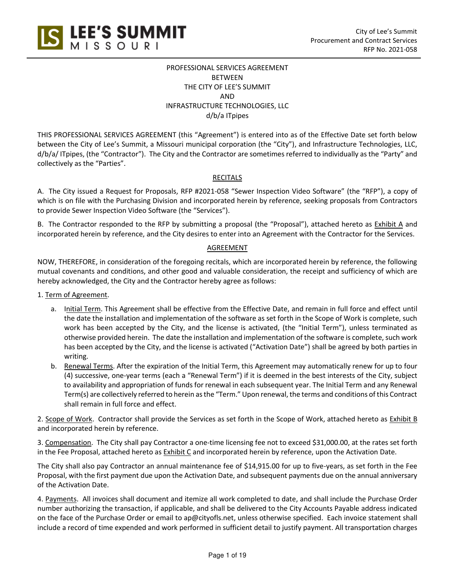

# PROFESSIONAL SERVICES AGREEMENT BETWEEN THE CITY OF LEE'S SUMMIT AND INFRASTRUCTURE TECHNOLOGIES, LLC d/b/a ITpipes

THIS PROFESSIONAL SERVICES AGREEMENT (this "Agreement") is entered into as of the Effective Date set forth below between the City of Lee's Summit, a Missouri municipal corporation (the "City"), and Infrastructure Technologies, LLC, d/b/a/ ITpipes, (the "Contractor"). The City and the Contractor are sometimes referred to individually as the "Party" and collectively as the "Parties".

# **RECITALS**

A. The City issued a Request for Proposals, RFP #2021-058 "Sewer Inspection Video Software" (the "RFP"), a copy of which is on file with the Purchasing Division and incorporated herein by reference, seeking proposals from Contractors to provide Sewer Inspection Video Software (the "Services").

B. The Contractor responded to the RFP by submitting a proposal (the "Proposal"), attached hereto as **Exhibit A** and incorporated herein by reference, and the City desires to enter into an Agreement with the Contractor for the Services.

# AGREEMENT

NOW, THEREFORE, in consideration of the foregoing recitals, which are incorporated herein by reference, the following mutual covenants and conditions, and other good and valuable consideration, the receipt and sufficiency of which are hereby acknowledged, the City and the Contractor hereby agree as follows:

1. Term of Agreement.

- a. Initial Term. This Agreement shall be effective from the Effective Date, and remain in full force and effect until the date the installation and implementation of the software as set forth in the Scope of Work is complete, such work has been accepted by the City, and the license is activated, (the "Initial Term"), unless terminated as otherwise provided herein. The date the installation and implementation of the software is complete, such work has been accepted by the City, and the license is activated ("Activation Date") shall be agreed by both parties in writing.
- b. Renewal Terms. After the expiration of the Initial Term, this Agreement may automatically renew for up to four (4) successive, one-year terms (each a "Renewal Term") if it is deemed in the best interests of the City, subject to availability and appropriation of funds for renewal in each subsequent year. The Initial Term and any Renewal Term(s) are collectively referred to herein as the "Term." Upon renewal, the terms and conditions of this Contract shall remain in full force and effect.

2. Scope of Work. Contractor shall provide the Services as set forth in the Scope of Work, attached hereto as Exhibit B and incorporated herein by reference.

3. Compensation. The City shall pay Contractor a one-time licensing fee not to exceed \$31,000.00, at the rates set forth in the Fee Proposal, attached hereto as Exhibit C and incorporated herein by reference, upon the Activation Date.

The City shall also pay Contractor an annual maintenance fee of \$14,915.00 for up to five-years, as set forth in the Fee Proposal, with the first payment due upon the Activation Date, and subsequent payments due on the annual anniversary of the Activation Date.

4. Payments. All invoices shall document and itemize all work completed to date, and shall include the Purchase Order number authorizing the transaction, if applicable, and shall be delivered to the City Accounts Payable address indicated on the face of the Purchase Order or email to ap@cityofls.net, unless otherwise specified. Each invoice statement shall include a record of time expended and work performed in sufficient detail to justify payment. All transportation charges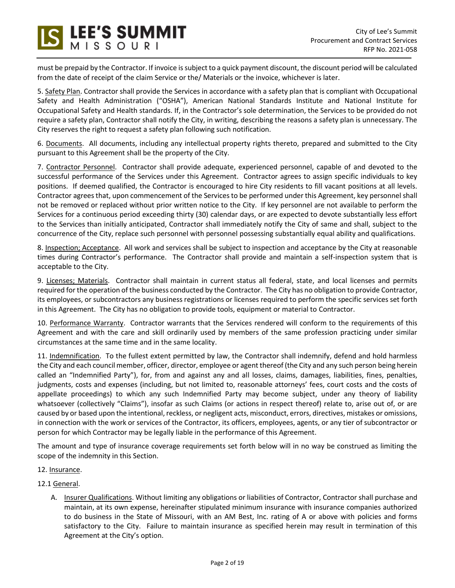must be prepaid by the Contractor. If invoice is subject to a quick payment discount, the discount period will be calculated from the date of receipt of the claim Service or the/ Materials or the invoice, whichever is later.

S LEE'S SUMMIT

5. Safety Plan. Contractor shall provide the Services in accordance with a safety plan that is compliant with Occupational Safety and Health Administration ("OSHA"), American National Standards Institute and National Institute for Occupational Safety and Health standards. If, in the Contractor's sole determination, the Services to be provided do not require a safety plan, Contractor shall notify the City, in writing, describing the reasons a safety plan is unnecessary. The City reserves the right to request a safety plan following such notification.

6. Documents. All documents, including any intellectual property rights thereto, prepared and submitted to the City pursuant to this Agreement shall be the property of the City.

7. Contractor Personnel. Contractor shall provide adequate, experienced personnel, capable of and devoted to the successful performance of the Services under this Agreement. Contractor agrees to assign specific individuals to key positions. If deemed qualified, the Contractor is encouraged to hire City residents to fill vacant positions at all levels. Contractor agrees that, upon commencement of the Services to be performed under this Agreement, key personnel shall not be removed or replaced without prior written notice to the City. If key personnel are not available to perform the Services for a continuous period exceeding thirty (30) calendar days, or are expected to devote substantially less effort to the Services than initially anticipated, Contractor shall immediately notify the City of same and shall, subject to the concurrence of the City, replace such personnel with personnel possessing substantially equal ability and qualifications.

8. Inspection; Acceptance. All work and services shall be subject to inspection and acceptance by the City at reasonable times during Contractor's performance. The Contractor shall provide and maintain a self-inspection system that is acceptable to the City.

9. Licenses; Materials. Contractor shall maintain in current status all federal, state, and local licenses and permits required for the operation of the business conducted by the Contractor. The City has no obligation to provide Contractor, its employees, or subcontractors any business registrations or licenses required to perform the specific services set forth in this Agreement. The City has no obligation to provide tools, equipment or material to Contractor.

10. Performance Warranty. Contractor warrants that the Services rendered will conform to the requirements of this Agreement and with the care and skill ordinarily used by members of the same profession practicing under similar circumstances at the same time and in the same locality.

11. Indemnification. To the fullest extent permitted by law, the Contractor shall indemnify, defend and hold harmless the City and each council member, officer, director, employee or agent thereof (the City and any such person being herein called an "Indemnified Party"), for, from and against any and all losses, claims, damages, liabilities, fines, penalties, judgments, costs and expenses (including, but not limited to, reasonable attorneys' fees, court costs and the costs of appellate proceedings) to which any such Indemnified Party may become subject, under any theory of liability whatsoever (collectively "Claims"), insofar as such Claims (or actions in respect thereof) relate to, arise out of, or are caused by or based upon the intentional, reckless, or negligent acts, misconduct, errors, directives, mistakes or omissions, in connection with the work or services of the Contractor, its officers, employees, agents, or any tier of subcontractor or person for which Contractor may be legally liable in the performance of this Agreement.

The amount and type of insurance coverage requirements set forth below will in no way be construed as limiting the scope of the indemnity in this Section.

- 12. Insurance.
- 12.1 General.
	- A. Insurer Qualifications. Without limiting any obligations or liabilities of Contractor, Contractor shall purchase and maintain, at its own expense, hereinafter stipulated minimum insurance with insurance companies authorized to do business in the State of Missouri, with an AM Best, Inc. rating of A or above with policies and forms satisfactory to the City. Failure to maintain insurance as specified herein may result in termination of this Agreement at the City's option.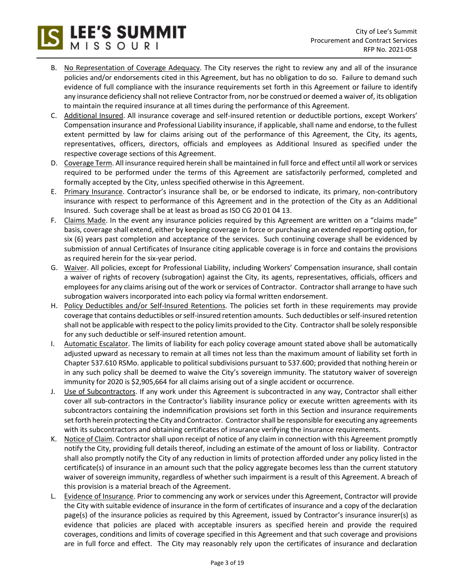B. No Representation of Coverage Adequacy. The City reserves the right to review any and all of the insurance policies and/or endorsements cited in this Agreement, but has no obligation to do so. Failure to demand such evidence of full compliance with the insurance requirements set forth in this Agreement or failure to identify any insurance deficiency shall not relieve Contractor from, nor be construed or deemed a waiver of, its obligation to maintain the required insurance at all times during the performance of this Agreement.

SLEE'S SUMMIT

- C. Additional Insured. All insurance coverage and self-insured retention or deductible portions, except Workers' Compensation insurance and Professional Liability insurance, if applicable, shall name and endorse, to the fullest extent permitted by law for claims arising out of the performance of this Agreement, the City, its agents, representatives, officers, directors, officials and employees as Additional Insured as specified under the respective coverage sections of this Agreement.
- D. Coverage Term. All insurance required herein shall be maintained in full force and effect until all work or services required to be performed under the terms of this Agreement are satisfactorily performed, completed and formally accepted by the City, unless specified otherwise in this Agreement.
- E. Primary Insurance. Contractor's insurance shall be, or be endorsed to indicate, its primary, non-contributory insurance with respect to performance of this Agreement and in the protection of the City as an Additional Insured. Such coverage shall be at least as broad as ISO CG 20 01 04 13.
- F. Claims Made. In the event any insurance policies required by this Agreement are written on a "claims made" basis, coverage shall extend, either by keeping coverage in force or purchasing an extended reporting option, for six (6) years past completion and acceptance of the services. Such continuing coverage shall be evidenced by submission of annual Certificates of Insurance citing applicable coverage is in force and contains the provisions as required herein for the six-year period.
- G. Waiver. All policies, except for Professional Liability, including Workers' Compensation insurance, shall contain a waiver of rights of recovery (subrogation) against the City, its agents, representatives, officials, officers and employees for any claims arising out of the work or services of Contractor. Contractor shall arrange to have such subrogation waivers incorporated into each policy via formal written endorsement.
- H. Policy Deductibles and/or Self-Insured Retentions. The policies set forth in these requirements may provide coverage that contains deductibles or self-insured retention amounts. Such deductibles or self-insured retention shall not be applicable with respect to the policy limits provided to the City. Contractor shall be solely responsible for any such deductible or self-insured retention amount.
- I. Automatic Escalator. The limits of liability for each policy coverage amount stated above shall be automatically adjusted upward as necessary to remain at all times not less than the maximum amount of liability set forth in Chapter 537.610 RSMo. applicable to political subdivisions pursuant to 537.600; provided that nothing herein or in any such policy shall be deemed to waive the City's sovereign immunity. The statutory waiver of sovereign immunity for 2020 is \$2,905,664 for all claims arising out of a single accident or occurrence.
- J. Use of Subcontractors. If any work under this Agreement is subcontracted in any way, Contractor shall either cover all sub-contractors in the Contractor's liability insurance policy or execute written agreements with its subcontractors containing the indemnification provisions set forth in this Section and insurance requirements set forth herein protecting the City and Contractor. Contractor shall be responsible for executing any agreements with its subcontractors and obtaining certificates of insurance verifying the insurance requirements.
- K. Notice of Claim. Contractor shall upon receipt of notice of any claim in connection with this Agreement promptly notify the City, providing full details thereof, including an estimate of the amount of loss or liability. Contractor shall also promptly notify the City of any reduction in limits of protection afforded under any policy listed in the certificate(s) of insurance in an amount such that the policy aggregate becomes less than the current statutory waiver of sovereign immunity, regardless of whether such impairment is a result of this Agreement. A breach of this provision is a material breach of the Agreement.
- L. Evidence of Insurance. Prior to commencing any work or services under this Agreement, Contractor will provide the City with suitable evidence of insurance in the form of certificates of insurance and a copy of the declaration page(s) of the insurance policies as required by this Agreement, issued by Contractor's insurance insurer(s) as evidence that policies are placed with acceptable insurers as specified herein and provide the required coverages, conditions and limits of coverage specified in this Agreement and that such coverage and provisions are in full force and effect. The City may reasonably rely upon the certificates of insurance and declaration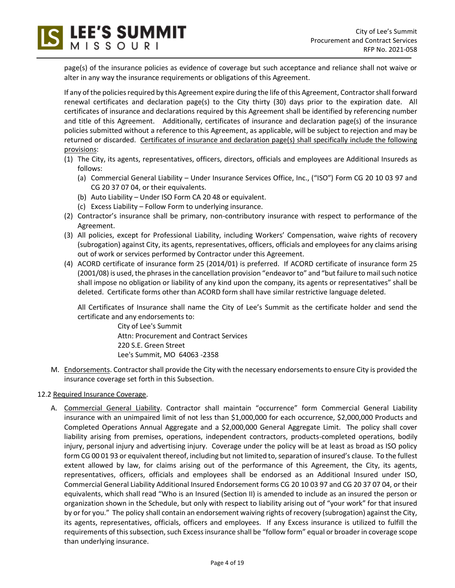**LEE'S SUMMIT** 

page(s) of the insurance policies as evidence of coverage but such acceptance and reliance shall not waive or alter in any way the insurance requirements or obligations of this Agreement.

If any of the policies required by this Agreement expire during the life of this Agreement, Contractor shall forward renewal certificates and declaration page(s) to the City thirty (30) days prior to the expiration date. All certificates of insurance and declarations required by this Agreement shall be identified by referencing number and title of this Agreement. Additionally, certificates of insurance and declaration page(s) of the insurance policies submitted without a reference to this Agreement, as applicable, will be subject to rejection and may be returned or discarded. Certificates of insurance and declaration page(s) shall specifically include the following provisions:

- (1) The City, its agents, representatives, officers, directors, officials and employees are Additional Insureds as follows:
	- (a) Commercial General Liability Under Insurance Services Office, Inc., ("ISO") Form CG 20 10 03 97 and CG 20 37 07 04, or their equivalents.
	- (b) Auto Liability Under ISO Form CA 20 48 or equivalent.
	- (c) Excess Liability Follow Form to underlying insurance.
- (2) Contractor's insurance shall be primary, non-contributory insurance with respect to performance of the Agreement.
- (3) All policies, except for Professional Liability, including Workers' Compensation, waive rights of recovery (subrogation) against City, its agents, representatives, officers, officials and employees for any claims arising out of work or services performed by Contractor under this Agreement.
- (4) ACORD certificate of insurance form 25 (2014/01) is preferred. If ACORD certificate of insurance form 25 (2001/08) is used, the phrases in the cancellation provision "endeavor to" and "but failure to mail such notice shall impose no obligation or liability of any kind upon the company, its agents or representatives" shall be deleted. Certificate forms other than ACORD form shall have similar restrictive language deleted.

All Certificates of Insurance shall name the City of Lee's Summit as the certificate holder and send the certificate and any endorsements to:

> City of Lee's Summit Attn: Procurement and Contract Services 220 S.E. Green Street Lee's Summit, MO 64063 -2358

M. Endorsements. Contractor shall provide the City with the necessary endorsements to ensure City is provided the insurance coverage set forth in this Subsection.

# 12.2 Required Insurance Coverage.

A. Commercial General Liability. Contractor shall maintain "occurrence" form Commercial General Liability insurance with an unimpaired limit of not less than \$1,000,000 for each occurrence, \$2,000,000 Products and Completed Operations Annual Aggregate and a \$2,000,000 General Aggregate Limit. The policy shall cover liability arising from premises, operations, independent contractors, products-completed operations, bodily injury, personal injury and advertising injury. Coverage under the policy will be at least as broad as ISO policy form CG 00 01 93 or equivalent thereof, including but not limited to, separation of insured's clause. To the fullest extent allowed by law, for claims arising out of the performance of this Agreement, the City, its agents, representatives, officers, officials and employees shall be endorsed as an Additional Insured under ISO, Commercial General Liability Additional Insured Endorsement forms CG 20 10 03 97 and CG 20 37 07 04, or their equivalents, which shall read "Who is an Insured (Section II) is amended to include as an insured the person or organization shown in the Schedule, but only with respect to liability arising out of "your work" for that insured by or for you." The policy shall contain an endorsement waiving rights of recovery (subrogation) against the City, its agents, representatives, officials, officers and employees. If any Excess insurance is utilized to fulfill the requirements of this subsection, such Excess insurance shall be "follow form" equal or broader in coverage scope than underlying insurance.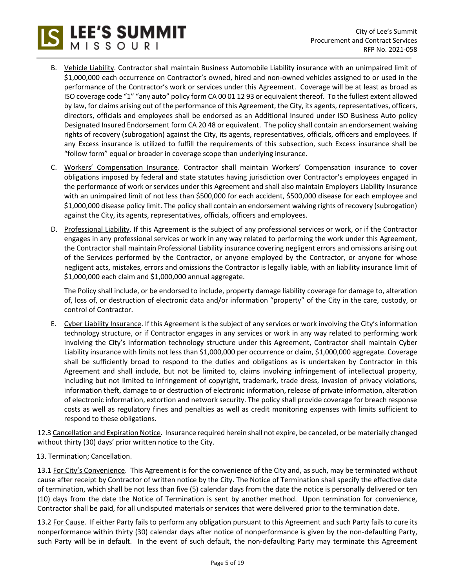- B. Vehicle Liability. Contractor shall maintain Business Automobile Liability insurance with an unimpaired limit of \$1,000,000 each occurrence on Contractor's owned, hired and non-owned vehicles assigned to or used in the performance of the Contractor's work or services under this Agreement. Coverage will be at least as broad as ISO coverage code "1" "any auto" policy form CA 00 01 12 93 or equivalent thereof. To the fullest extent allowed by law, for claims arising out of the performance of this Agreement, the City, its agents, representatives, officers, directors, officials and employees shall be endorsed as an Additional Insured under ISO Business Auto policy Designated Insured Endorsement form CA 20 48 or equivalent. The policy shall contain an endorsement waiving rights of recovery (subrogation) against the City, its agents, representatives, officials, officers and employees. If any Excess insurance is utilized to fulfill the requirements of this subsection, such Excess insurance shall be "follow form" equal or broader in coverage scope than underlying insurance.
- C. Workers' Compensation Insurance. Contractor shall maintain Workers' Compensation insurance to cover obligations imposed by federal and state statutes having jurisdiction over Contractor's employees engaged in the performance of work or services under this Agreement and shall also maintain Employers Liability Insurance with an unimpaired limit of not less than \$500,000 for each accident, \$500,000 disease for each employee and \$1,000,000 disease policy limit. The policy shall contain an endorsement waiving rights of recovery (subrogation) against the City, its agents, representatives, officials, officers and employees.
- D. Professional Liability. If this Agreement is the subject of any professional services or work, or if the Contractor engages in any professional services or work in any way related to performing the work under this Agreement, the Contractor shall maintain Professional Liability insurance covering negligent errors and omissions arising out of the Services performed by the Contractor, or anyone employed by the Contractor, or anyone for whose negligent acts, mistakes, errors and omissions the Contractor is legally liable, with an liability insurance limit of \$1,000,000 each claim and \$1,000,000 annual aggregate.

The Policy shall include, or be endorsed to include, property damage liability coverage for damage to, alteration of, loss of, or destruction of electronic data and/or information "property" of the City in the care, custody, or control of Contractor.

E. Cyber Liability Insurance. If this Agreement is the subject of any services or work involving the City's information technology structure, or if Contractor engages in any services or work in any way related to performing work involving the City's information technology structure under this Agreement, Contractor shall maintain Cyber Liability insurance with limits not less than \$1,000,000 per occurrence or claim, \$1,000,000 aggregate. Coverage shall be sufficiently broad to respond to the duties and obligations as is undertaken by Contractor in this Agreement and shall include, but not be limited to, claims involving infringement of intellectual property, including but not limited to infringement of copyright, trademark, trade dress, invasion of privacy violations, information theft, damage to or destruction of electronic information, release of private information, alteration of electronic information, extortion and network security. The policy shall provide coverage for breach response costs as well as regulatory fines and penalties as well as credit monitoring expenses with limits sufficient to respond to these obligations.

12.3 Cancellation and Expiration Notice. Insurance required herein shall not expire, be canceled, or be materially changed without thirty (30) days' prior written notice to the City.

13. Termination; Cancellation.

**LEE'S SUMMIT** 

13.1 For City's Convenience. This Agreement is for the convenience of the City and, as such, may be terminated without cause after receipt by Contractor of written notice by the City. The Notice of Termination shall specify the effective date of termination, which shall be not less than five (5) calendar days from the date the notice is personally delivered or ten (10) days from the date the Notice of Termination is sent by another method. Upon termination for convenience, Contractor shall be paid, for all undisputed materials or services that were delivered prior to the termination date.

13.2 For Cause. If either Party fails to perform any obligation pursuant to this Agreement and such Party fails to cure its nonperformance within thirty (30) calendar days after notice of nonperformance is given by the non-defaulting Party, such Party will be in default. In the event of such default, the non-defaulting Party may terminate this Agreement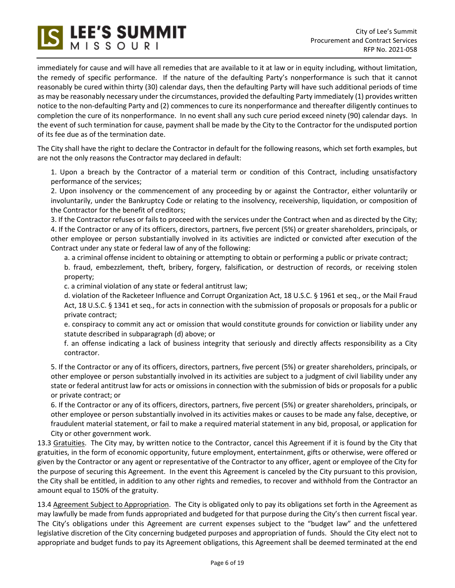

immediately for cause and will have all remedies that are available to it at law or in equity including, without limitation, the remedy of specific performance. If the nature of the defaulting Party's nonperformance is such that it cannot reasonably be cured within thirty (30) calendar days, then the defaulting Party will have such additional periods of time as may be reasonably necessary under the circumstances, provided the defaulting Party immediately (1) provides written notice to the non-defaulting Party and (2) commences to cure its nonperformance and thereafter diligently continues to completion the cure of its nonperformance. In no event shall any such cure period exceed ninety (90) calendar days. In the event of such termination for cause, payment shall be made by the City to the Contractor for the undisputed portion of its fee due as of the termination date.

The City shall have the right to declare the Contractor in default for the following reasons, which set forth examples, but are not the only reasons the Contractor may declared in default:

1. Upon a breach by the Contractor of a material term or condition of this Contract, including unsatisfactory performance of the services;

2. Upon insolvency or the commencement of any proceeding by or against the Contractor, either voluntarily or involuntarily, under the Bankruptcy Code or relating to the insolvency, receivership, liquidation, or composition of the Contractor for the benefit of creditors;

3. If the Contractor refuses or fails to proceed with the services under the Contract when and as directed by the City; 4. If the Contractor or any of its officers, directors, partners, five percent (5%) or greater shareholders, principals, or other employee or person substantially involved in its activities are indicted or convicted after execution of the Contract under any state or federal law of any of the following:

a. a criminal offense incident to obtaining or attempting to obtain or performing a public or private contract;

b. fraud, embezzlement, theft, bribery, forgery, falsification, or destruction of records, or receiving stolen property;

c. a criminal violation of any state or federal antitrust law;

d. violation of the Racketeer Influence and Corrupt Organization Act, 18 U.S.C. § 1961 et seq., or the Mail Fraud Act, 18 U.S.C. § 1341 et seq., for acts in connection with the submission of proposals or proposals for a public or private contract;

e. conspiracy to commit any act or omission that would constitute grounds for conviction or liability under any statute described in subparagraph (d) above; or

f. an offense indicating a lack of business integrity that seriously and directly affects responsibility as a City contractor.

5. If the Contractor or any of its officers, directors, partners, five percent (5%) or greater shareholders, principals, or other employee or person substantially involved in its activities are subject to a judgment of civil liability under any state or federal antitrust law for acts or omissions in connection with the submission of bids or proposals for a public or private contract; or

6. If the Contractor or any of its officers, directors, partners, five percent (5%) or greater shareholders, principals, or other employee or person substantially involved in its activities makes or causes to be made any false, deceptive, or fraudulent material statement, or fail to make a required material statement in any bid, proposal, or application for City or other government work.

13.3 Gratuities. The City may, by written notice to the Contractor, cancel this Agreement if it is found by the City that gratuities, in the form of economic opportunity, future employment, entertainment, gifts or otherwise, were offered or given by the Contractor or any agent or representative of the Contractor to any officer, agent or employee of the City for the purpose of securing this Agreement. In the event this Agreement is canceled by the City pursuant to this provision, the City shall be entitled, in addition to any other rights and remedies, to recover and withhold from the Contractor an amount equal to 150% of the gratuity.

13.4 Agreement Subject to Appropriation. The City is obligated only to pay its obligations set forth in the Agreement as may lawfully be made from funds appropriated and budgeted for that purpose during the City's then current fiscal year. The City's obligations under this Agreement are current expenses subject to the "budget law" and the unfettered legislative discretion of the City concerning budgeted purposes and appropriation of funds. Should the City elect not to appropriate and budget funds to pay its Agreement obligations, this Agreement shall be deemed terminated at the end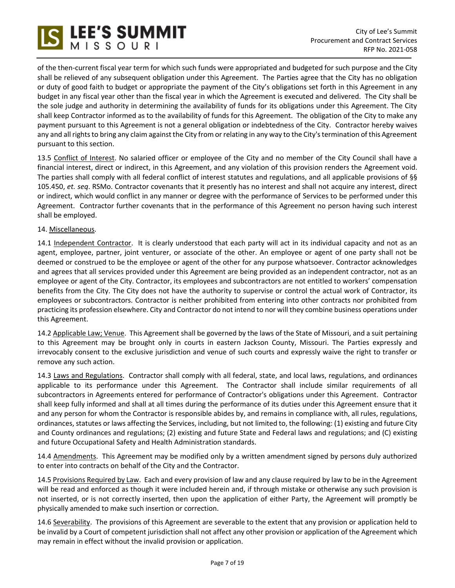

of the then-current fiscal year term for which such funds were appropriated and budgeted for such purpose and the City shall be relieved of any subsequent obligation under this Agreement. The Parties agree that the City has no obligation or duty of good faith to budget or appropriate the payment of the City's obligations set forth in this Agreement in any budget in any fiscal year other than the fiscal year in which the Agreement is executed and delivered. The City shall be the sole judge and authority in determining the availability of funds for its obligations under this Agreement. The City shall keep Contractor informed as to the availability of funds for this Agreement. The obligation of the City to make any payment pursuant to this Agreement is not a general obligation or indebtedness of the City. Contractor hereby waives any and all rights to bring any claim against the City from or relating in any way to the City's termination of this Agreement pursuant to this section.

13.5 Conflict of Interest. No salaried officer or employee of the City and no member of the City Council shall have a financial interest, direct or indirect, in this Agreement, and any violation of this provision renders the Agreement void. The parties shall comply with all federal conflict of interest statutes and regulations, and all applicable provisions of §§ 105.450, *et. seq*. RSMo. Contractor covenants that it presently has no interest and shall not acquire any interest, direct or indirect, which would conflict in any manner or degree with the performance of Services to be performed under this Agreement. Contractor further covenants that in the performance of this Agreement no person having such interest shall be employed.

## 14. Miscellaneous.

14.1 Independent Contractor. It is clearly understood that each party will act in its individual capacity and not as an agent, employee, partner, joint venturer, or associate of the other. An employee or agent of one party shall not be deemed or construed to be the employee or agent of the other for any purpose whatsoever. Contractor acknowledges and agrees that all services provided under this Agreement are being provided as an independent contractor, not as an employee or agent of the City. Contractor, its employees and subcontractors are not entitled to workers' compensation benefits from the City. The City does not have the authority to supervise or control the actual work of Contractor, its employees or subcontractors. Contractor is neither prohibited from entering into other contracts nor prohibited from practicing its profession elsewhere. City and Contractor do not intend to nor will they combine business operations under this Agreement.

14.2 Applicable Law; Venue. This Agreement shall be governed by the laws of the State of Missouri, and a suit pertaining to this Agreement may be brought only in courts in eastern Jackson County, Missouri. The Parties expressly and irrevocably consent to the exclusive jurisdiction and venue of such courts and expressly waive the right to transfer or remove any such action.

14.3 Laws and Regulations. Contractor shall comply with all federal, state, and local laws, regulations, and ordinances applicable to its performance under this Agreement. The Contractor shall include similar requirements of all subcontractors in Agreements entered for performance of Contractor's obligations under this Agreement. Contractor shall keep fully informed and shall at all times during the performance of its duties under this Agreement ensure that it and any person for whom the Contractor is responsible abides by, and remains in compliance with, all rules, regulations, ordinances, statutes or laws affecting the Services, including, but not limited to, the following: (1) existing and future City and County ordinances and regulations; (2) existing and future State and Federal laws and regulations; and (C) existing and future Occupational Safety and Health Administration standards.

14.4 Amendments. This Agreement may be modified only by a written amendment signed by persons duly authorized to enter into contracts on behalf of the City and the Contractor.

14.5 Provisions Required by Law. Each and every provision of law and any clause required by law to be in the Agreement will be read and enforced as though it were included herein and, if through mistake or otherwise any such provision is not inserted, or is not correctly inserted, then upon the application of either Party, the Agreement will promptly be physically amended to make such insertion or correction.

14.6 Severability. The provisions of this Agreement are severable to the extent that any provision or application held to be invalid by a Court of competent jurisdiction shall not affect any other provision or application of the Agreement which may remain in effect without the invalid provision or application.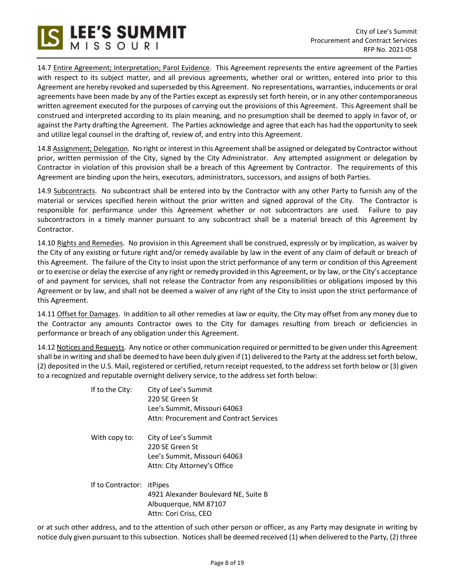14.7 Entire Agreement; Interpretation; Parol Evidence. This Agreement represents the entire agreement of the Parties with respect to its subject matter, and all previous agreements, whether oral or written, entered into prior to this Agreement are hereby revoked and superseded by this Agreement. No representations, warranties, inducements or oral agreements have been made by any of the Parties except as expressly set forth herein, or in any other contemporaneous written agreement executed for the purposes of carrying out the provisions of this Agreement. This Agreement shall be construed and interpreted according to its plain meaning, and no presumption shall be deemed to apply in favor of, or against the Party drafting the Agreement. The Parties acknowledge and agree that each has had the opportunity to seek and utilize legal counsel in the drafting of, review of, and entry into this Agreement.

14.8 Assignment; Delegation. No right or interest in this Agreement shall be assigned or delegated by Contractor without prior, written permission of the City, signed by the City Administrator. Any attempted assignment or delegation by Contractor in violation of this provision shall be a breach of this Agreement by Contractor. The requirements of this Agreement are binding upon the heirs, executors, administrators, successors, and assigns of both Parties.

14.9 Subcontracts. No subcontract shall be entered into by the Contractor with any other Party to furnish any of the material or services specified herein without the prior written and signed approval of the City. The Contractor is responsible for performance under this Agreement whether or not subcontractors are used. Failure to pay subcontractors in a timely manner pursuant to any subcontract shall be a material breach of this Agreement by Contractor.

14.10 Rights and Remedies. No provision in this Agreement shall be construed, expressly or by implication, as waiver by the City of any existing or future right and/or remedy available by law in the event of any claim of default or breach of this Agreement. The failure of the City to insist upon the strict performance of any term or condition of this Agreement or to exercise or delay the exercise of any right or remedy provided in this Agreement, or by law, or the City's acceptance of and payment for services, shall not release the Contractor from any responsibilities or obligations imposed by this Agreement or by law, and shall not be deemed a waiver of any right of the City to insist upon the strict performance of this Agreement.

14.11 Offset for Damages. In addition to all other remedies at law or equity, the City may offset from any money due to the Contractor any amounts Contractor owes to the City for damages resulting from breach or deficiencies in performance or breach of any obligation under this Agreement.

14.12 Notices and Requests. Any notice or other communication required or permitted to be given under this Agreement shall be in writing and shall be deemed to have been duly given if (1) delivered to the Party at the address set forth below, (2) deposited in the U.S. Mail, registered or certified, return receipt requested, to the address set forth below or (3) given to a recognized and reputable overnight delivery service, to the address set forth below:

| If to the City:   | City of Lee's Summit<br>220 SF Green St<br>Lee's Summit, Missouri 64063<br>Attn: Procurement and Contract Services |
|-------------------|--------------------------------------------------------------------------------------------------------------------|
| With copy to:     | City of Lee's Summit<br>220 SF Green St<br>Lee's Summit, Missouri 64063<br>Attn: City Attorney's Office            |
| If to Contractor: | itPipes<br>4921 Alexander Boulevard NE, Suite B<br>Albuquerque, NM 87107<br>Attn: Cori Criss, CEO                  |

or at such other address, and to the attention of such other person or officer, as any Party may designate in writing by notice duly given pursuant to this subsection. Notices shall be deemed received (1) when delivered to the Party, (2) three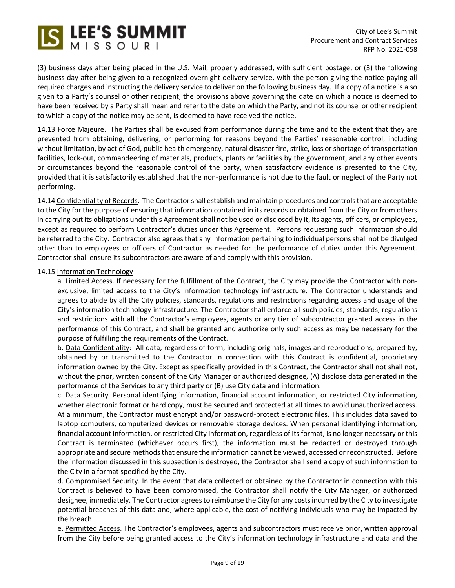(3) business days after being placed in the U.S. Mail, properly addressed, with sufficient postage, or (3) the following business day after being given to a recognized overnight delivery service, with the person giving the notice paying all required charges and instructing the delivery service to deliver on the following business day. If a copy of a notice is also given to a Party's counsel or other recipient, the provisions above governing the date on which a notice is deemed to have been received by a Party shall mean and refer to the date on which the Party, and not its counsel or other recipient to which a copy of the notice may be sent, is deemed to have received the notice.

14.13 Force Majeure. The Parties shall be excused from performance during the time and to the extent that they are prevented from obtaining, delivering, or performing for reasons beyond the Parties' reasonable control, including without limitation, by act of God, public health emergency, natural disaster fire, strike, loss or shortage of transportation facilities, lock-out, commandeering of materials, products, plants or facilities by the government, and any other events or circumstances beyond the reasonable control of the party, when satisfactory evidence is presented to the City, provided that it is satisfactorily established that the non-performance is not due to the fault or neglect of the Party not performing.

14.14 Confidentiality of Records. The Contractor shall establish and maintain procedures and controls that are acceptable to the City for the purpose of ensuring that information contained in its records or obtained from the City or from others in carrying out its obligations under this Agreement shall not be used or disclosed by it, its agents, officers, or employees, except as required to perform Contractor's duties under this Agreement. Persons requesting such information should be referred to the City. Contractor also agrees that any information pertaining to individual persons shall not be divulged other than to employees or officers of Contractor as needed for the performance of duties under this Agreement. Contractor shall ensure its subcontractors are aware of and comply with this provision.

## 14.15 Information Technology

a. Limited Access. If necessary for the fulfillment of the Contract, the City may provide the Contractor with nonexclusive, limited access to the City's information technology infrastructure. The Contractor understands and agrees to abide by all the City policies, standards, regulations and restrictions regarding access and usage of the City's information technology infrastructure. The Contractor shall enforce all such policies, standards, regulations and restrictions with all the Contractor's employees, agents or any tier of subcontractor granted access in the performance of this Contract, and shall be granted and authorize only such access as may be necessary for the purpose of fulfilling the requirements of the Contract.

b. Data Confidentiality: All data, regardless of form, including originals, images and reproductions, prepared by, obtained by or transmitted to the Contractor in connection with this Contract is confidential, proprietary information owned by the City. Except as specifically provided in this Contract, the Contractor shall not shall not, without the prior, written consent of the City Manager or authorized designee, (A) disclose data generated in the performance of the Services to any third party or (B) use City data and information.

c. Data Security. Personal identifying information, financial account information, or restricted City information, whether electronic format or hard copy, must be secured and protected at all times to avoid unauthorized access. At a minimum, the Contractor must encrypt and/or password-protect electronic files. This includes data saved to laptop computers, computerized devices or removable storage devices. When personal identifying information, financial account information, or restricted City information, regardless of its format, is no longer necessary or this Contract is terminated (whichever occurs first), the information must be redacted or destroyed through appropriate and secure methods that ensure the information cannot be viewed, accessed or reconstructed. Before the information discussed in this subsection is destroyed, the Contractor shall send a copy of such information to the City in a format specified by the City.

d. Compromised Security. In the event that data collected or obtained by the Contractor in connection with this Contract is believed to have been compromised, the Contractor shall notify the City Manager, or authorized designee, immediately. The Contractor agrees to reimburse the City for any costs incurred by the City to investigate potential breaches of this data and, where applicable, the cost of notifying individuals who may be impacted by the breach.

e. Permitted Access. The Contractor's employees, agents and subcontractors must receive prior, written approval from the City before being granted access to the City's information technology infrastructure and data and the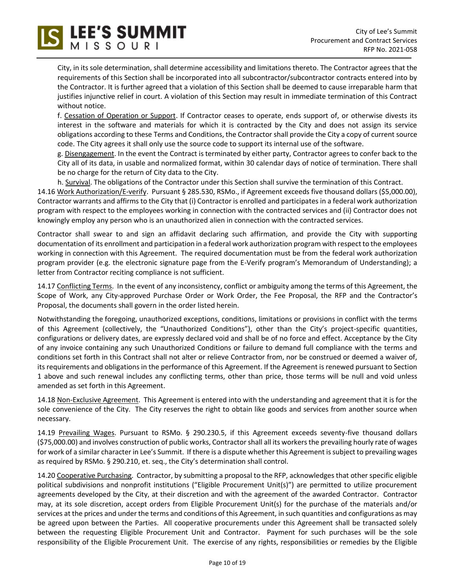City, in its sole determination, shall determine accessibility and limitations thereto. The Contractor agrees that the requirements of this Section shall be incorporated into all subcontractor/subcontractor contracts entered into by the Contractor. It is further agreed that a violation of this Section shall be deemed to cause irreparable harm that justifies injunctive relief in court. A violation of this Section may result in immediate termination of this Contract without notice.

S LEE'S SUMMIT

f. Cessation of Operation or Support. If Contractor ceases to operate, ends support of, or otherwise divests its interest in the software and materials for which it is contracted by the City and does not assign its service obligations according to these Terms and Conditions, the Contractor shall provide the City a copy of current source code. The City agrees it shall only use the source code to support its internal use of the software.

g. Disengagement. In the event the Contract is terminated by either party, Contractor agrees to confer back to the City all of its data, in usable and normalized format, within 30 calendar days of notice of termination. There shall be no charge for the return of City data to the City.

h. Survival. The obligations of the Contractor under this Section shall survive the termination of this Contract. 14.16 Work Authorization/E-verify. Pursuant § 285.530, RSMo., if Agreement exceeds five thousand dollars (\$5,000.00), Contractor warrants and affirms to the City that (i) Contractor is enrolled and participates in a federal work authorization program with respect to the employees working in connection with the contracted services and (ii) Contractor does not knowingly employ any person who is an unauthorized alien in connection with the contracted services.

Contractor shall swear to and sign an affidavit declaring such affirmation, and provide the City with supporting documentation of its enrollment and participation in a federal work authorization program with respect to the employees working in connection with this Agreement. The required documentation must be from the federal work authorization program provider (e.g. the electronic signature page from the E-Verify program's Memorandum of Understanding); a letter from Contractor reciting compliance is not sufficient.

14.17 Conflicting Terms. In the event of any inconsistency, conflict or ambiguity among the terms of this Agreement, the Scope of Work, any City-approved Purchase Order or Work Order, the Fee Proposal, the RFP and the Contractor's Proposal, the documents shall govern in the order listed herein.

Notwithstanding the foregoing, unauthorized exceptions, conditions, limitations or provisions in conflict with the terms of this Agreement (collectively, the "Unauthorized Conditions"), other than the City's project-specific quantities, configurations or delivery dates, are expressly declared void and shall be of no force and effect. Acceptance by the City of any invoice containing any such Unauthorized Conditions or failure to demand full compliance with the terms and conditions set forth in this Contract shall not alter or relieve Contractor from, nor be construed or deemed a waiver of, its requirements and obligations in the performance of this Agreement. If the Agreement is renewed pursuant to Section 1 above and such renewal includes any conflicting terms, other than price, those terms will be null and void unless amended as set forth in this Agreement.

14.18 Non-Exclusive Agreement. This Agreement is entered into with the understanding and agreement that it is for the sole convenience of the City. The City reserves the right to obtain like goods and services from another source when necessary.

14.19 Prevailing Wages. Pursuant to RSMo. § 290.230.5, if this Agreement exceeds seventy-five thousand dollars (\$75,000.00) and involves construction of public works, Contractor shall all its workers the prevailing hourly rate of wages for work of a similar character in Lee's Summit. If there is a dispute whether this Agreement is subject to prevailing wages as required by RSMo. § 290.210, et. seq., the City's determination shall control.

14.20 Cooperative Purchasing. Contractor, by submitting a proposal to the RFP, acknowledges that other specific eligible political subdivisions and nonprofit institutions ("Eligible Procurement Unit(s)") are permitted to utilize procurement agreements developed by the City, at their discretion and with the agreement of the awarded Contractor. Contractor may, at its sole discretion, accept orders from Eligible Procurement Unit(s) for the purchase of the materials and/or services at the prices and under the terms and conditions of this Agreement, in such quantities and configurations as may be agreed upon between the Parties. All cooperative procurements under this Agreement shall be transacted solely between the requesting Eligible Procurement Unit and Contractor. Payment for such purchases will be the sole responsibility of the Eligible Procurement Unit. The exercise of any rights, responsibilities or remedies by the Eligible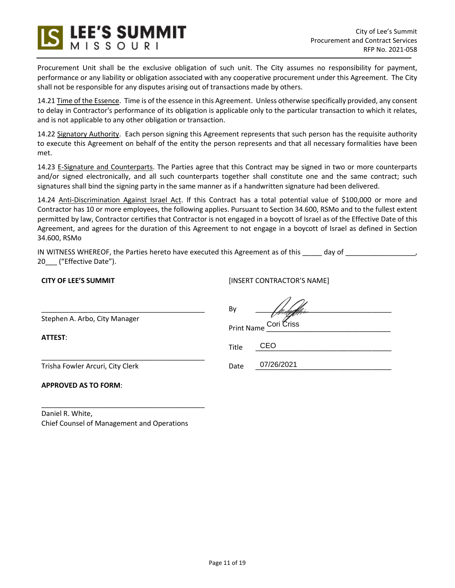

Procurement Unit shall be the exclusive obligation of such unit. The City assumes no responsibility for payment, performance or any liability or obligation associated with any cooperative procurement under this Agreement. The City shall not be responsible for any disputes arising out of transactions made by others.

14.21 Time of the Essence. Time is of the essence in this Agreement. Unless otherwise specifically provided, any consent to delay in Contractor's performance of its obligation is applicable only to the particular transaction to which it relates, and is not applicable to any other obligation or transaction.

14.22 Signatory Authority. Each person signing this Agreement represents that such person has the requisite authority to execute this Agreement on behalf of the entity the person represents and that all necessary formalities have been met.

14.23 E-Signature and Counterparts. The Parties agree that this Contract may be signed in two or more counterparts and/or signed electronically, and all such counterparts together shall constitute one and the same contract; such signatures shall bind the signing party in the same manner as if a handwritten signature had been delivered.

14.24 Anti-Discrimination Against Israel Act. If this Contract has a total potential value of \$100,000 or more and Contractor has 10 or more employees, the following applies. Pursuant to Section 34.600, RSMo and to the fullest extent permitted by law, Contractor certifies that Contractor is not engaged in a boycott of Israel as of the Effective Date of this Agreement, and agrees for the duration of this Agreement to not engage in a boycott of Israel as defined in Section 34.600, RSMo

IN WITNESS WHEREOF, the Parties hereto have executed this Agreement as of this \_\_\_\_\_ day of \_\_\_\_\_\_\_\_\_\_\_\_\_\_\_\_\_ 20\_\_\_ ("Effective Date").

# **CITY OF LEE'S SUMMIT**

[INSERT CONTRACTOR'S NAME]

 $\overline{\mathcal{A}}$ 

|                                  | By                    |            |  |  |
|----------------------------------|-----------------------|------------|--|--|
| Stephen A. Arbo, City Manager    |                       |            |  |  |
| ATTEST:                          | Print Name Cori Criss |            |  |  |
|                                  | Title                 | CEO        |  |  |
| Trisha Fowler Arcuri, City Clerk | Date                  | 07/26/2021 |  |  |
| <b>APPROVED AS TO FORM:</b>      |                       |            |  |  |

Daniel R. White, Chief Counsel of Management and Operations

\_\_\_\_\_\_\_\_\_\_\_\_\_\_\_\_\_\_\_\_\_\_\_\_\_\_\_\_\_\_\_\_\_\_\_\_\_\_\_\_\_\_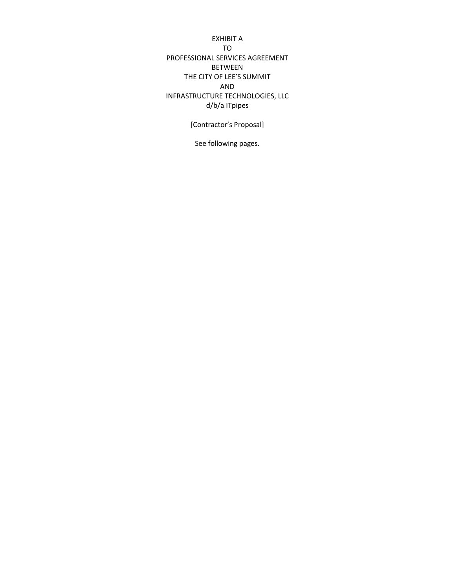EXHIBIT A TO PROFESSIONAL SERVICES AGREEMENT BETWEEN THE CITY OF LEE'S SUMMIT AND INFRASTRUCTURE TECHNOLOGIES, LLC d/b/a ITpipes

[Contractor's Proposal]

See following pages.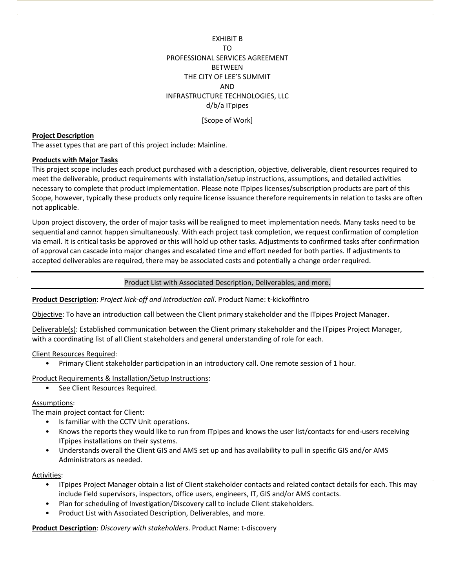EXHIBIT B TO PROFESSIONAL SERVICES AGREEMENT **BETWEEN** THE CITY OF LEE'S SUMMIT AND INFRASTRUCTURE TECHNOLOGIES, LLC d/b/a ITpipes

[Scope of Work]

### **Project Description**

The asset types that are part of this project include: Mainline.

### **Products with Major Tasks**

This project scope includes each product purchased with a description, objective, deliverable, client resources required to meet the deliverable, product requirements with installation/setup instructions, assumptions, and detailed activities necessary to complete that product implementation. Please note ITpipes licenses/subscription products are part of this Scope, however, typically these products only require license issuance therefore requirements in relation to tasks are often not applicable.

Upon project discovery, the order of major tasks will be realigned to meet implementation needs. Many tasks need to be sequential and cannot happen simultaneously. With each project task completion, we request confirmation of completion via email. It is critical tasks be approved or this will hold up other tasks. Adjustments to confirmed tasks after confirmation of approval can cascade into major changes and escalated time and effort needed for both parties. If adjustments to accepted deliverables are required, there may be associated costs and potentially a change order required.

#### Product List with Associated Description, Deliverables, and more.

#### **Product Description**: *Project kick-off and introduction call*. Product Name: t-kickoffintro

Objective: To have an introduction call between the Client primary stakeholder and the ITpipes Project Manager.

Deliverable(s): Established communication between the Client primary stakeholder and the ITpipes Project Manager, with a coordinating list of all Client stakeholders and general understanding of role for each.

### Client Resources Required:

• Primary Client stakeholder participation in an introductory call. One remote session of 1 hour.

#### Product Requirements & Installation/Setup Instructions:

• See Client Resources Required.

### Assumptions:

The main project contact for Client:

- Is familiar with the CCTV Unit operations.
- Knows the reports they would like to run from ITpipes and knows the user list/contacts for end-users receiving ITpipes installations on their systems.
- Understands overall the Client GIS and AMS set up and has availability to pull in specific GIS and/or AMS Administrators as needed.

#### Activities:

- ITpipes Project Manager obtain a list of Client stakeholder contacts and related contact details for each. This may include field supervisors, inspectors, office users, engineers, IT, GIS and/or AMS contacts.
- Plan for scheduling of Investigation/Discovery call to include Client stakeholders.
- Product List with Associated Description, Deliverables, and more.

**Product Description**: *Discovery with stakeholders*. Product Name: t-discovery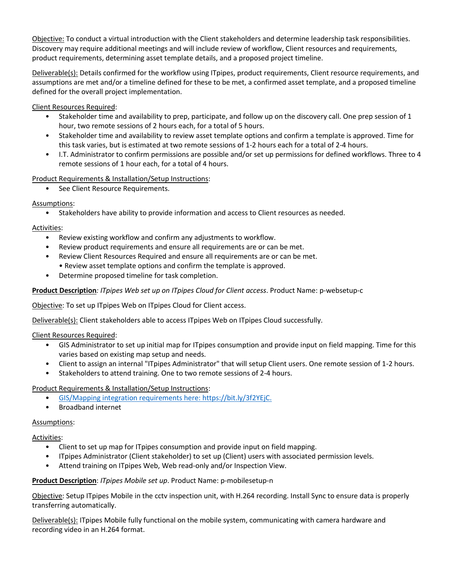Objective: To conduct a virtual introduction with the Client stakeholders and determine leadership task responsibilities. Discovery may require additional meetings and will include review of workflow, Client resources and requirements, product requirements, determining asset template details, and a proposed project timeline.

Deliverable(s): Details confirmed for the workflow using ITpipes, product requirements, Client resource requirements, and assumptions are met and/or a timeline defined for these to be met, a confirmed asset template, and a proposed timeline defined for the overall project implementation.

Client Resources Required:

- Stakeholder time and availability to prep, participate, and follow up on the discovery call. One prep session of 1 hour, two remote sessions of 2 hours each, for a total of 5 hours.
- Stakeholder time and availability to review asset template options and confirm a template is approved. Time for this task varies, but is estimated at two remote sessions of 1-2 hours each for a total of 2-4 hours.
- I.T. Administrator to confirm permissions are possible and/or set up permissions for defined workflows. Three to 4 remote sessions of 1 hour each, for a total of 4 hours.

Product Requirements & Installation/Setup Instructions:

• See Client Resource Requirements.

# Assumptions:

• Stakeholders have ability to provide information and access to Client resources as needed.

# Activities:

- Review existing workflow and confirm any adjustments to workflow.
- Review product requirements and ensure all requirements are or can be met.
- Review Client Resources Required and ensure all requirements are or can be met. • Review asset template options and confirm the template is approved.
- Determine proposed timeline for task completion.

# **Product Description***: ITpipes Web set up on ITpipes Cloud for Client access*. Product Name: p-websetup-c

Objective: To set up ITpipes Web on ITpipes Cloud for Client access.

Deliverable(s): Client stakeholders able to access ITpipes Web on ITpipes Cloud successfully.

Client Resources Required:

- GIS Administrator to set up initial map for ITpipes consumption and provide input on field mapping. Time for this varies based on existing map setup and needs.
- Client to assign an internal "ITpipes Administrator" that will setup Client users. One remote session of 1-2 hours.
- Stakeholders to attend training. One to two remote sessions of 2-4 hours.

## Product Requirements & Installation/Setup Instructions:

- GIS/Mapping integration requirements here: https://bit.ly/3f2YEjC.
- Broadband internet

## Assumptions:

## Activities:

- Client to set up map for ITpipes consumption and provide input on field mapping.
- ITpipes Administrator (Client stakeholder) to set up (Client) users with associated permission levels.
- Attend training on ITpipes Web, Web read-only and/or Inspection View.

## **Product Description**: *ITpipes Mobile set up*. Product Name: p-mobilesetup-n

Objective: Setup ITpipes Mobile in the cctv inspection unit, with H.264 recording. Install Sync to ensure data is properly transferring automatically.

Deliverable(s): ITpipes Mobile fully functional on the mobile system, communicating with camera hardware and recording video in an H.264 format.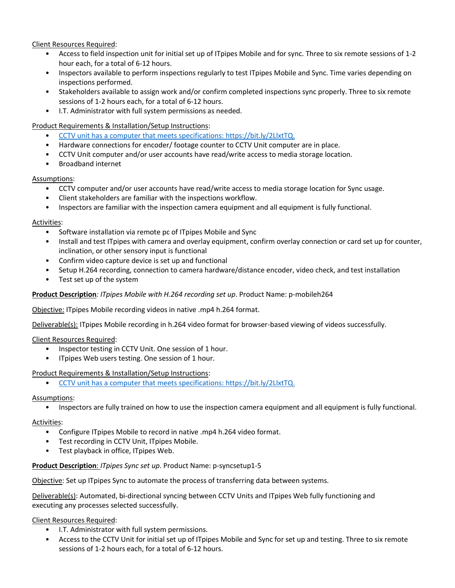Client Resources Required:

- Access to field inspection unit for initial set up of ITpipes Mobile and for sync. Three to six remote sessions of 1-2 hour each, for a total of 6-12 hours.
- Inspectors available to perform inspections regularly to test ITpipes Mobile and Sync. Time varies depending on inspections performed.
- Stakeholders available to assign work and/or confirm completed inspections sync properly. Three to six remote sessions of 1-2 hours each, for a total of 6-12 hours.
- I.T. Administrator with full system permissions as needed.

# Product Requirements & Installation/Setup Instructions:

- CCTV unit has a computer that meets specifications: https://bit.ly/2LlxtTQ.
- Hardware connections for encoder/ footage counter to CCTV Unit computer are in place.
- CCTV Unit computer and/or user accounts have read/write access to media storage location.
- Broadband internet

# Assumptions:

- CCTV computer and/or user accounts have read/write access to media storage location for Sync usage.
- Client stakeholders are familiar with the inspections workflow.
- Inspectors are familiar with the inspection camera equipment and all equipment is fully functional.

# Activities:

- Software installation via remote pc of ITpipes Mobile and Sync
- Install and test ITpipes with camera and overlay equipment, confirm overlay connection or card set up for counter, inclination, or other sensory input is functional
- Confirm video capture device is set up and functional
- Setup H.264 recording, connection to camera hardware/distance encoder, video check, and test installation
- Test set up of the system

# **Product Description***: ITpipes Mobile with H.264 recording set up*. Product Name: p-mobileh264

Objective: ITpipes Mobile recording videos in native .mp4 h.264 format.

Deliverable(s): ITpipes Mobile recording in h.264 video format for browser-based viewing of videos successfully.

Client Resources Required:

- Inspector testing in CCTV Unit. One session of 1 hour.
- ITpipes Web users testing. One session of 1 hour.

# Product Requirements & Installation/Setup Instructions:

• CCTV unit has a computer that meets specifications: https://bit.ly/2LlxtTQ.

# Assumptions:

• Inspectors are fully trained on how to use the inspection camera equipment and all equipment is fully functional.

# Activities:

- Configure ITpipes Mobile to record in native .mp4 h.264 video format.
- Test recording in CCTV Unit, ITpipes Mobile.
- Test playback in office, ITpipes Web.

# **Product Description**: *ITpipes Sync set up*. Product Name: p-syncsetup1-5

Objective: Set up ITpipes Sync to automate the process of transferring data between systems.

Deliverable(s): Automated, bi-directional syncing between CCTV Units and ITpipes Web fully functioning and executing any processes selected successfully.

# Client Resources Required:

- I.T. Administrator with full system permissions.
- Access to the CCTV Unit for initial set up of ITpipes Mobile and Sync for set up and testing. Three to six remote sessions of 1-2 hours each, for a total of 6-12 hours.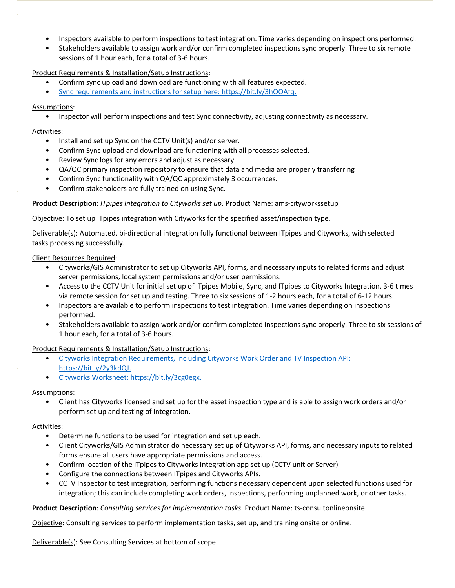- Inspectors available to perform inspections to test integration. Time varies depending on inspections performed.
- Stakeholders available to assign work and/or confirm completed inspections sync properly. Three to six remote sessions of 1 hour each, for a total of 3-6 hours.

Product Requirements & Installation/Setup Instructions:

- Confirm sync upload and download are functioning with all features expected.
- Sync requirements and instructions for setup here: https://bit.ly/3hOOAfq.

## Assumptions:

• Inspector will perform inspections and test Sync connectivity, adjusting connectivity as necessary.

### Activities:

- Install and set up Sync on the CCTV Unit(s) and/or server.
- Confirm Sync upload and download are functioning with all processes selected.
- Review Sync logs for any errors and adjust as necessary.
- QA/QC primary inspection repository to ensure that data and media are properly transferring
- Confirm Sync functionality with QA/QC approximately 3 occurrences.
- Confirm stakeholders are fully trained on using Sync.

## **Product Description**: *ITpipes Integration to Cityworks set up*. Product Name: ams-cityworkssetup

Objective: To set up ITpipes integration with Cityworks for the specified asset/inspection type.

Deliverable(s): Automated, bi-directional integration fully functional between ITpipes and Cityworks, with selected tasks processing successfully.

## Client Resources Required:

- Cityworks/GIS Administrator to set up Cityworks API, forms, and necessary inputs to related forms and adjust server permissions, local system permissions and/or user permissions.
- Access to the CCTV Unit for initial set up of ITpipes Mobile, Sync, and ITpipes to Cityworks Integration. 3-6 times via remote session for set up and testing. Three to six sessions of 1-2 hours each, for a total of 6-12 hours.
- Inspectors are available to perform inspections to test integration. Time varies depending on inspections performed.
- Stakeholders available to assign work and/or confirm completed inspections sync properly. Three to six sessions of 1 hour each, for a total of 3-6 hours.

## Product Requirements & Installation/Setup Instructions:

- Cityworks Integration Requirements, including Cityworks Work Order and TV Inspection API: https://bit.ly/2y3kdQJ.
- Cityworks Worksheet: https://bit.ly/3cg0egx.

## Assumptions:

• Client has Cityworks licensed and set up for the asset inspection type and is able to assign work orders and/or perform set up and testing of integration.

## Activities:

- Determine functions to be used for integration and set up each.
- Client Cityworks/GIS Administrator do necessary set up of Cityworks API, forms, and necessary inputs to related forms ensure all users have appropriate permissions and access.
- Confirm location of the ITpipes to Cityworks Integration app set up (CCTV unit or Server)
- Configure the connections between ITpipes and Cityworks APIs.
- CCTV Inspector to test integration, performing functions necessary dependent upon selected functions used for integration; this can include completing work orders, inspections, performing unplanned work, or other tasks.

## **Product Description**: *Consulting services for implementation tasks*. Product Name: ts-consultonlineonsite

Objective: Consulting services to perform implementation tasks, set up, and training onsite or online.

Deliverable(s): See Consulting Services at bottom of scope.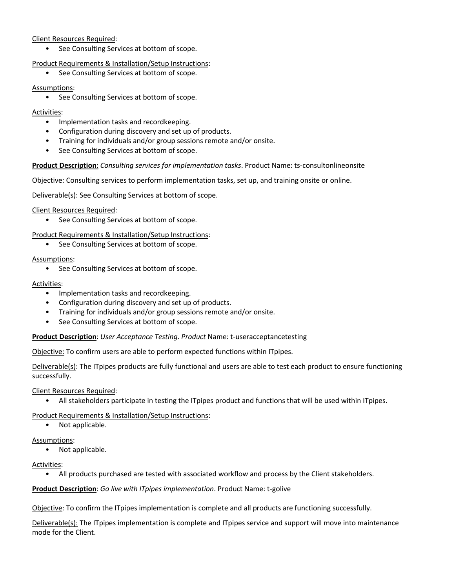# Client Resources Required:

• See Consulting Services at bottom of scope.

Product Requirements & Installation/Setup Instructions:

• See Consulting Services at bottom of scope.

# Assumptions:

• See Consulting Services at bottom of scope.

# Activities:

- Implementation tasks and recordkeeping.
- Configuration during discovery and set up of products.
- Training for individuals and/or group sessions remote and/or onsite.
- See Consulting Services at bottom of scope.

# **Product Description**: *Consulting services for implementation tasks*. Product Name: ts-consultonlineonsite

Objective: Consulting services to perform implementation tasks, set up, and training onsite or online.

Deliverable(s): See Consulting Services at bottom of scope.

Client Resources Required:

• See Consulting Services at bottom of scope.

Product Requirements & Installation/Setup Instructions:

• See Consulting Services at bottom of scope.

Assumptions:

• See Consulting Services at bottom of scope.

# Activities:

- Implementation tasks and recordkeeping.
- Configuration during discovery and set up of products.
- Training for individuals and/or group sessions remote and/or onsite.
- See Consulting Services at bottom of scope.

## **Product Description**: *User Acceptance Testing. Product* Name: t-useracceptancetesting

Objective: To confirm users are able to perform expected functions within ITpipes.

Deliverable(s): The ITpipes products are fully functional and users are able to test each product to ensure functioning successfully.

Client Resources Required:

• All stakeholders participate in testing the ITpipes product and functions that will be used within ITpipes.

# Product Requirements & Installation/Setup Instructions:

• Not applicable.

Assumptions:

• Not applicable.

Activities:

• All products purchased are tested with associated workflow and process by the Client stakeholders.

**Product Description**: *Go live with ITpipes implementation*. Product Name: t-golive

Objective: To confirm the ITpipes implementation is complete and all products are functioning successfully.

Deliverable(s): The ITpipes implementation is complete and ITpipes service and support will move into maintenance mode for the Client.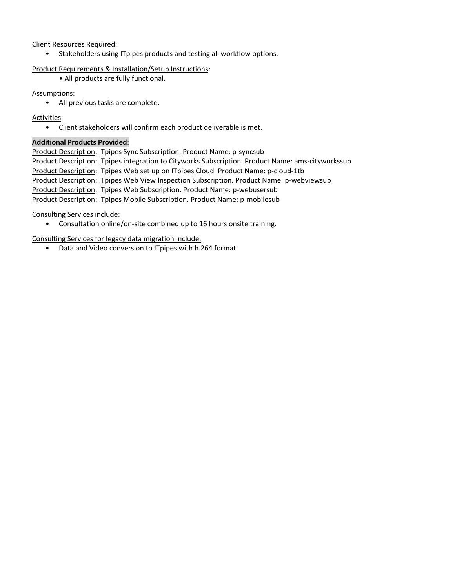# Client Resources Required:

• Stakeholders using ITpipes products and testing all workflow options.

## Product Requirements & Installation/Setup Instructions:

• All products are fully functional.

# Assumptions:

• All previous tasks are complete.

# Activities:

• Client stakeholders will confirm each product deliverable is met.

# **Additional Products Provided**:

Product Description: ITpipes Sync Subscription. Product Name: p-syncsub Product Description: ITpipes integration to Cityworks Subscription. Product Name: ams-cityworkssub Product Description: ITpipes Web set up on ITpipes Cloud. Product Name: p-cloud-1tb Product Description: ITpipes Web View Inspection Subscription. Product Name: p-webviewsub Product Description: ITpipes Web Subscription. Product Name: p-webusersub Product Description: ITpipes Mobile Subscription. Product Name: p-mobilesub

Consulting Services include:

• Consultation online/on-site combined up to 16 hours onsite training.

Consulting Services for legacy data migration include:

• Data and Video conversion to ITpipes with h.264 format.